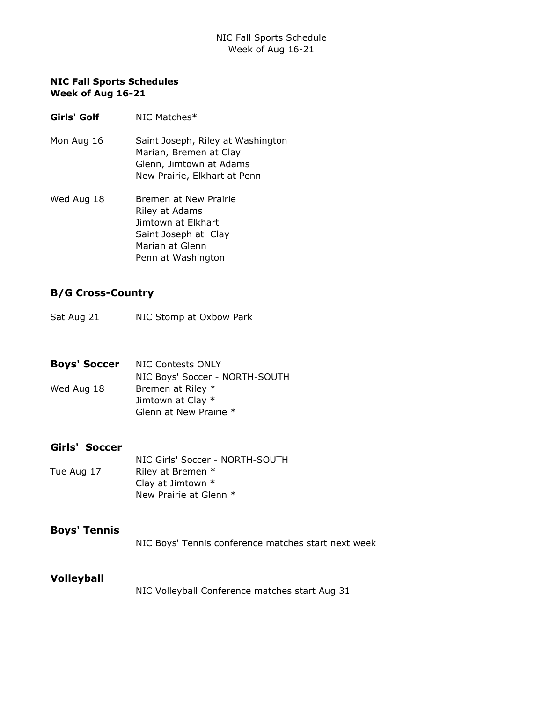## **NIC Fall Sports Schedules Week of Aug 16-21**

- Girls' Golf NIC Matches\*
- Mon Aug 16 Saint Joseph, Riley at Washington Marian, Bremen at Clay Glenn, Jimtown at Adams New Prairie, Elkhart at Penn
- Wed Aug 18 Bremen at New Prairie Riley at Adams Jimtown at Elkhart Saint Joseph at Clay Marian at Glenn Penn at Washington

# **B/G Cross-Country**

Sat Aug 21 NIC Stomp at Oxbow Park

| <b>Boys' Soccer</b> NIC Contests ONLY |
|---------------------------------------|
| NIC Boys' Soccer - NORTH-SOUTH        |
| Bremen at Riley *                     |
| Jimtown at Clay *                     |
| Glenn at New Prairie *                |
|                                       |

## **Girls' Soccer**

NIC Girls' Soccer - NORTH-SOUTH Tue Aug 17 Riley at Bremen \* Clay at Jimtown \* New Prairie at Glenn \*

## **Boys' Tennis**

NIC Boys' Tennis conference matches start next week

## **Volleyball**

NIC Volleyball Conference matches start Aug 31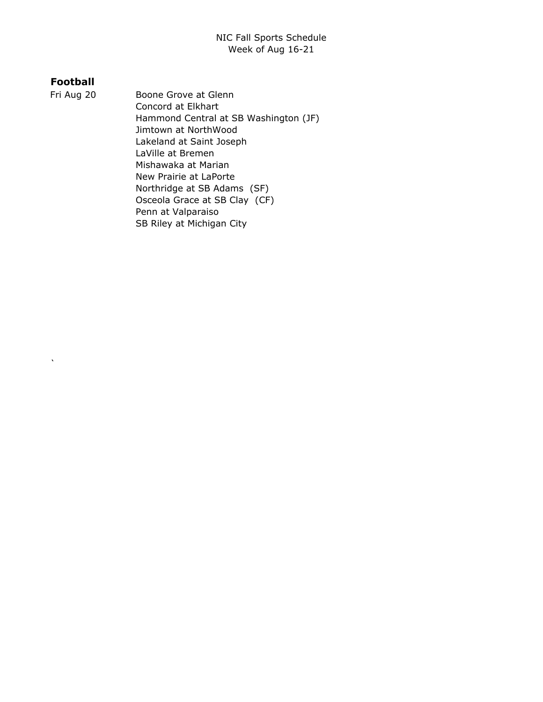NIC Fall Sports Schedule Week of Aug 16-21

## **Football**

`

Fri Aug 20 Boone Grove at Glenn Concord at Elkhart Hammond Central at SB Washington (JF) Jimtown at NorthWood Lakeland at Saint Joseph LaVille at Bremen Mishawaka at Marian New Prairie at LaPorte Northridge at SB Adams (SF) Osceola Grace at SB Clay (CF) Penn at Valparaiso SB Riley at Michigan City